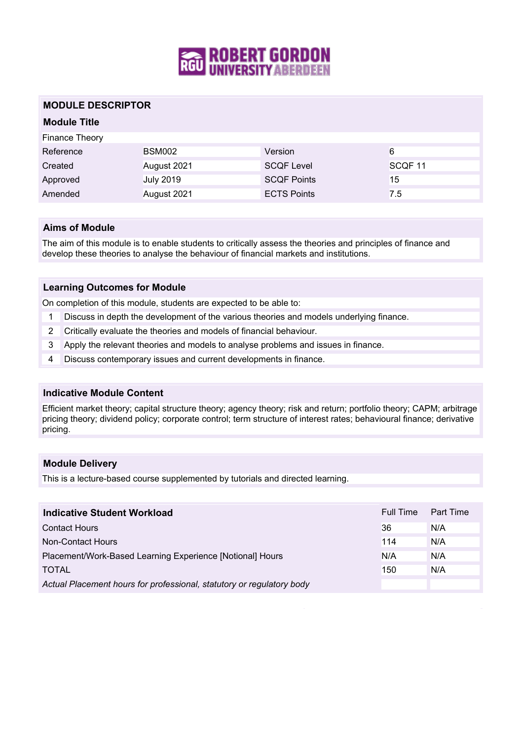

### **MODULE DESCRIPTOR**

# **Module Title**

| <b>Finance Theory</b> |                  |                    |                    |
|-----------------------|------------------|--------------------|--------------------|
| Reference             | <b>BSM002</b>    | Version            | 6                  |
| Created               | August 2021      | <b>SCQF Level</b>  | SCQF <sub>11</sub> |
| Approved              | <b>July 2019</b> | <b>SCQF Points</b> | 15                 |
| Amended               | August 2021      | <b>ECTS Points</b> | 7.5                |

#### **Aims of Module**

The aim of this module is to enable students to critically assess the theories and principles of finance and develop these theories to analyse the behaviour of financial markets and institutions.

#### **Learning Outcomes for Module**

On completion of this module, students are expected to be able to:

- 1 Discuss in depth the development of the various theories and models underlying finance.
- 2 Critically evaluate the theories and models of financial behaviour.
- 3 Apply the relevant theories and models to analyse problems and issues in finance.
- 4 Discuss contemporary issues and current developments in finance.

#### **Indicative Module Content**

Efficient market theory; capital structure theory; agency theory; risk and return; portfolio theory; CAPM; arbitrage pricing theory; dividend policy; corporate control; term structure of interest rates; behavioural finance; derivative pricing.

#### **Module Delivery**

This is a lecture-based course supplemented by tutorials and directed learning.

| Indicative Student Workload                                           | Full Time | Part Time |
|-----------------------------------------------------------------------|-----------|-----------|
| <b>Contact Hours</b>                                                  | 36        | N/A       |
| Non-Contact Hours                                                     | 114       | N/A       |
| Placement/Work-Based Learning Experience [Notional] Hours             |           | N/A       |
| <b>TOTAL</b>                                                          | 150       | N/A       |
| Actual Placement hours for professional, statutory or regulatory body |           |           |